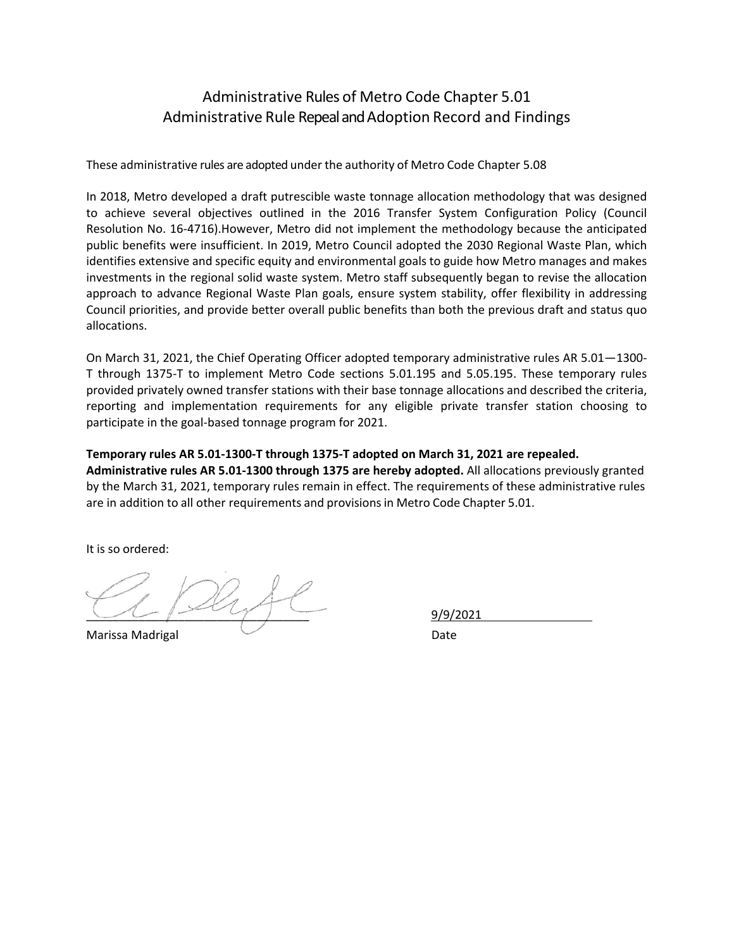## Administrative Rules of Metro Code Chapter 5.01 Administrative Rule Repeal and Adoption Record and Findings

These administrative rules are adopted under the authority of Metro Code Chapter 5.08

In 2018, Metro developed a draft putrescible waste tonnage allocation methodology that was designed to achieve several objectives outlined in the 2016 Transfer System Configuration Policy (Council Resolution No. 16-4716).However, Metro did not implement the methodology because the anticipated public benefits were insufficient. In 2019, Metro Council adopted the 2030 Regional Waste Plan, which identifies extensive and specific equity and environmental goals to guide how Metro manages and makes investments in the regional solid waste system. Metro staff subsequently began to revise the allocation approach to advance Regional Waste Plan goals, ensure system stability, offer flexibility in addressing Council priorities, and provide better overall public benefits than both the previous draft and status quo allocations.

On March 31, 2021, the Chief Operating Officer adopted temporary administrative rules AR 5.01—1300- T through 1375-T to implement Metro Code sections 5.01.195 and 5.05.195. These temporary rules provided privately owned transfer stations with their base tonnage allocations and described the criteria, reporting and implementation requirements for any eligible private transfer station choosing to participate in the goal-based tonnage program for 2021.

#### **Temporary rules AR 5.01-1300-T through 1375-T adopted on March 31, 2021 are repealed.**

**Administrative rules AR 5.01-1300 through 1375 are hereby adopted.** All allocations previously granted by the March 31, 2021, temporary rules remain in effect. The requirements of these administrative rules are in addition to all other requirements and provisionsin Metro Code Chapter 5.01.

It is so ordered:

Marissa Madrigal Date **Date** 

\_\_\_\_\_\_\_\_\_\_\_\_\_\_\_\_\_\_\_\_\_\_\_\_\_\_\_\_\_\_\_\_\_\_ 9/9/2021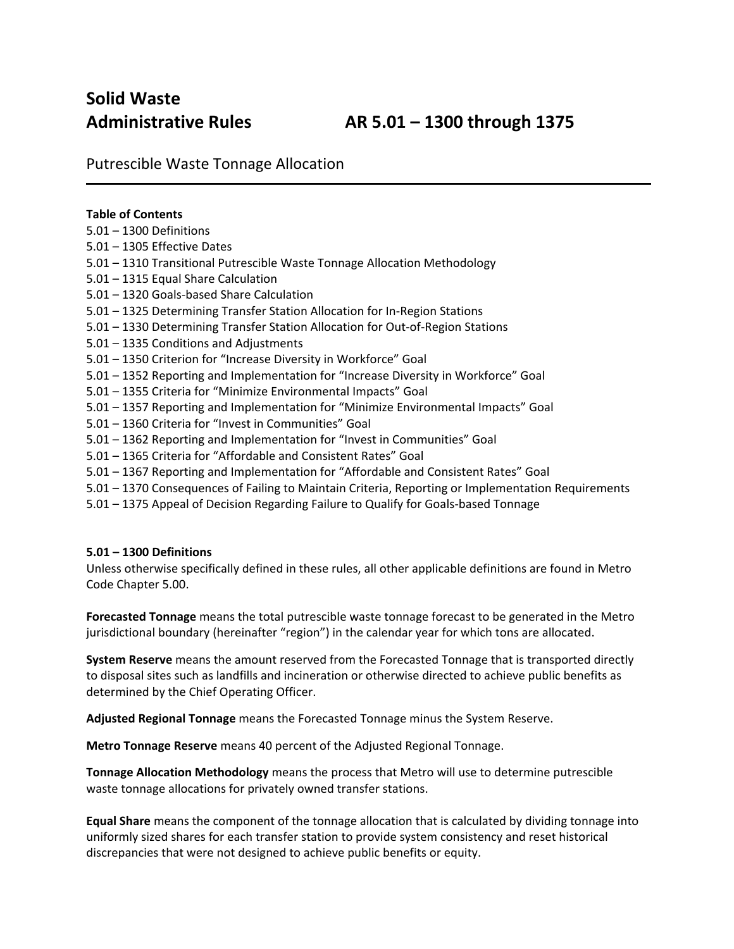# **Solid Waste**

Putrescible Waste Tonnage Allocation

## **Table of Contents**

- 5.01 1300 Definitions
- 5.01 1305 Effective Dates
- 5.01 1310 Transitional Putrescible Waste Tonnage Allocation Methodology
- 5.01 1315 Equal Share Calculation
- 5.01 1320 Goals-based Share Calculation
- 5.01 1325 Determining Transfer Station Allocation for In-Region Stations
- 5.01 1330 Determining Transfer Station Allocation for Out-of-Region Stations
- 5.01 1335 Conditions and Adjustments
- 5.01 1350 Criterion for "Increase Diversity in Workforce" Goal
- 5.01 1352 Reporting and Implementation for "Increase Diversity in Workforce" Goal
- 5.01 1355 Criteria for "Minimize Environmental Impacts" Goal
- 5.01 1357 Reporting and Implementation for "Minimize Environmental Impacts" Goal
- 5.01 1360 Criteria for "Invest in Communities" Goal
- 5.01 1362 Reporting and Implementation for "Invest in Communities" Goal
- 5.01 1365 Criteria for "Affordable and Consistent Rates" Goal
- 5.01 1367 Reporting and Implementation for "Affordable and Consistent Rates" Goal
- 5.01 1370 Consequences of Failing to Maintain Criteria, Reporting or Implementation Requirements
- 5.01 1375 Appeal of Decision Regarding Failure to Qualify for Goals-based Tonnage

#### **5.01 – 1300 Definitions**

Unless otherwise specifically defined in these rules, all other applicable definitions are found in Metro Code Chapter 5.00.

**Forecasted Tonnage** means the total putrescible waste tonnage forecast to be generated in the Metro jurisdictional boundary (hereinafter "region") in the calendar year for which tons are allocated.

**System Reserve** means the amount reserved from the Forecasted Tonnage that is transported directly to disposal sites such as landfills and incineration or otherwise directed to achieve public benefits as determined by the Chief Operating Officer.

**Adjusted Regional Tonnage** means the Forecasted Tonnage minus the System Reserve.

**Metro Tonnage Reserve** means 40 percent of the Adjusted Regional Tonnage.

**Tonnage Allocation Methodology** means the process that Metro will use to determine putrescible waste tonnage allocations for privately owned transfer stations.

**Equal Share** means the component of the tonnage allocation that is calculated by dividing tonnage into uniformly sized shares for each transfer station to provide system consistency and reset historical discrepancies that were not designed to achieve public benefits or equity.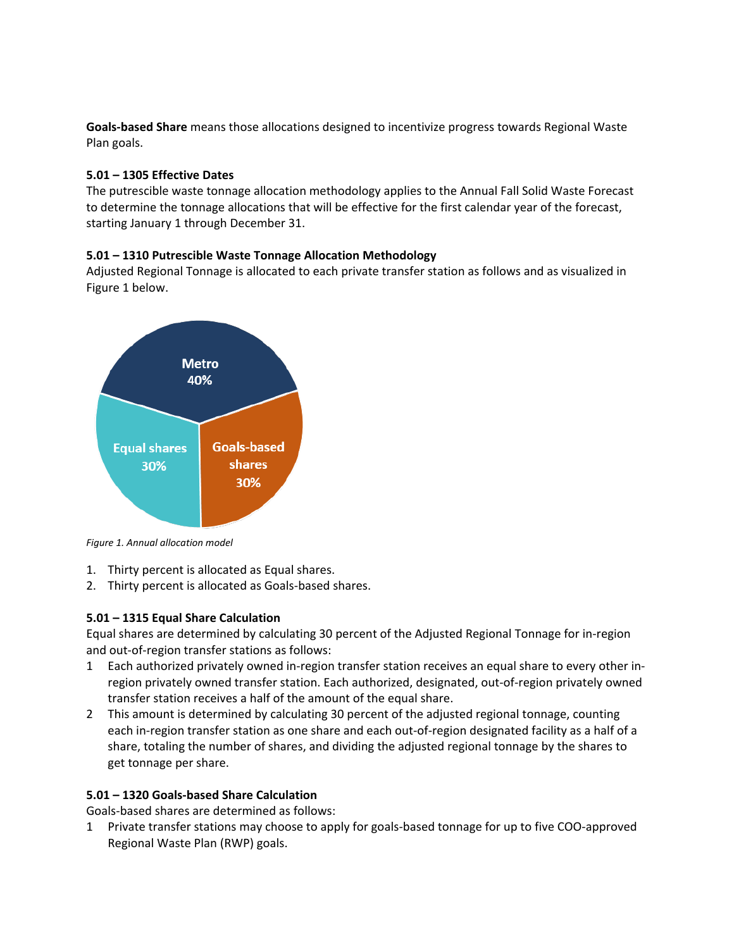**Goals-based Share** means those allocations designed to incentivize progress towards Regional Waste Plan goals.

### **5.01 – 1305 Effective Dates**

The putrescible waste tonnage allocation methodology applies to the Annual Fall Solid Waste Forecast to determine the tonnage allocations that will be effective for the first calendar year of the forecast, starting January 1 through December 31.

#### **5.01 – 1310 Putrescible Waste Tonnage Allocation Methodology**

Adjusted Regional Tonnage is allocated to each private transfer station as follows and as visualized in Figure 1 below.



*Figure 1. Annual allocation model*

- 1. Thirty percent is allocated as Equal shares.
- 2. Thirty percent is allocated as Goals-based shares.

## **5.01 – 1315 Equal Share Calculation**

Equal shares are determined by calculating 30 percent of the Adjusted Regional Tonnage for in-region and out-of-region transfer stations as follows:

- 1 Each authorized privately owned in-region transfer station receives an equal share to every other inregion privately owned transfer station. Each authorized, designated, out-of-region privately owned transfer station receives a half of the amount of the equal share.
- 2 This amount is determined by calculating 30 percent of the adjusted regional tonnage, counting each in-region transfer station as one share and each out-of-region designated facility as a half of a share, totaling the number of shares, and dividing the adjusted regional tonnage by the shares to get tonnage per share.

## **5.01 – 1320 Goals-based Share Calculation**

Goals-based shares are determined as follows:

1 Private transfer stations may choose to apply for goals-based tonnage for up to five COO-approved Regional Waste Plan (RWP) goals.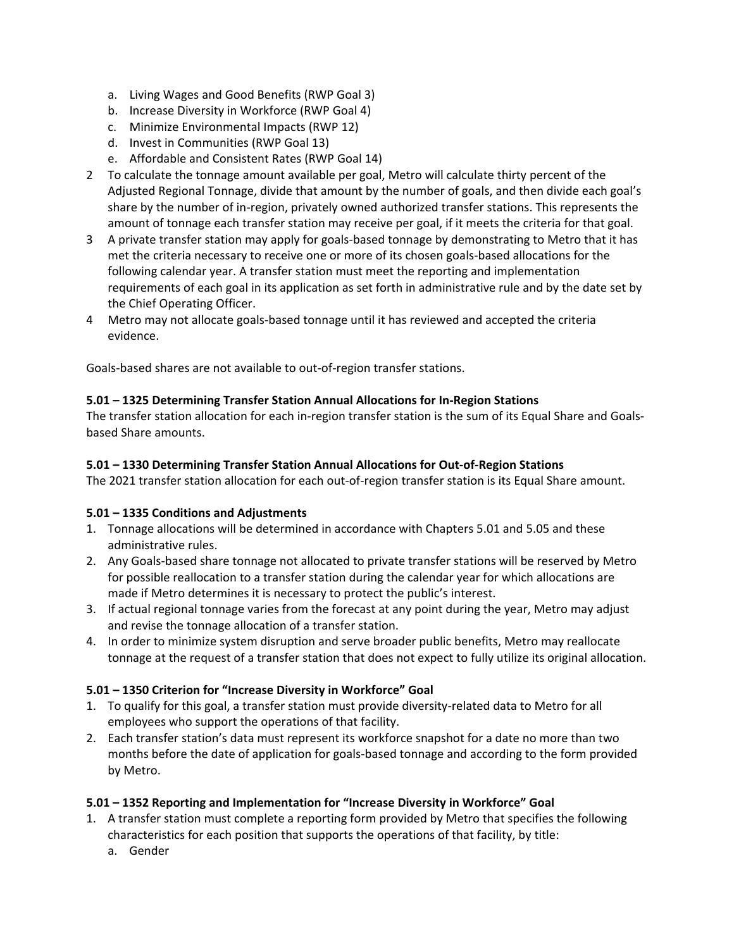- a. Living Wages and Good Benefits (RWP Goal 3)
- b. Increase Diversity in Workforce (RWP Goal 4)
- c. Minimize Environmental Impacts (RWP 12)
- d. Invest in Communities (RWP Goal 13)
- e. Affordable and Consistent Rates (RWP Goal 14)
- 2 To calculate the tonnage amount available per goal, Metro will calculate thirty percent of the Adjusted Regional Tonnage, divide that amount by the number of goals, and then divide each goal's share by the number of in-region, privately owned authorized transfer stations. This represents the amount of tonnage each transfer station may receive per goal, if it meets the criteria for that goal.
- 3 A private transfer station may apply for goals-based tonnage by demonstrating to Metro that it has met the criteria necessary to receive one or more of its chosen goals-based allocations for the following calendar year. A transfer station must meet the reporting and implementation requirements of each goal in its application as set forth in administrative rule and by the date set by the Chief Operating Officer.
- 4 Metro may not allocate goals-based tonnage until it has reviewed and accepted the criteria evidence.

Goals-based shares are not available to out-of-region transfer stations.

#### **5.01 – 1325 Determining Transfer Station Annual Allocations for In-Region Stations**

The transfer station allocation for each in-region transfer station is the sum of its Equal Share and Goalsbased Share amounts.

#### **5.01 – 1330 Determining Transfer Station Annual Allocations for Out-of-Region Stations**

The 2021 transfer station allocation for each out-of-region transfer station is its Equal Share amount.

#### **5.01 – 1335 Conditions and Adjustments**

- 1. Tonnage allocations will be determined in accordance with Chapters 5.01 and 5.05 and these administrative rules.
- 2. Any Goals-based share tonnage not allocated to private transfer stations will be reserved by Metro for possible reallocation to a transfer station during the calendar year for which allocations are made if Metro determines it is necessary to protect the public's interest.
- 3. If actual regional tonnage varies from the forecast at any point during the year, Metro may adjust and revise the tonnage allocation of a transfer station.
- 4. In order to minimize system disruption and serve broader public benefits, Metro may reallocate tonnage at the request of a transfer station that does not expect to fully utilize its original allocation.

#### **5.01 – 1350 Criterion for "Increase Diversity in Workforce" Goal**

- 1. To qualify for this goal, a transfer station must provide diversity-related data to Metro for all employees who support the operations of that facility.
- 2. Each transfer station's data must represent its workforce snapshot for a date no more than two months before the date of application for goals-based tonnage and according to the form provided by Metro.

## **5.01 – 1352 Reporting and Implementation for "Increase Diversity in Workforce" Goal**

- 1. A transfer station must complete a reporting form provided by Metro that specifies the following characteristics for each position that supports the operations of that facility, by title:
	- a. Gender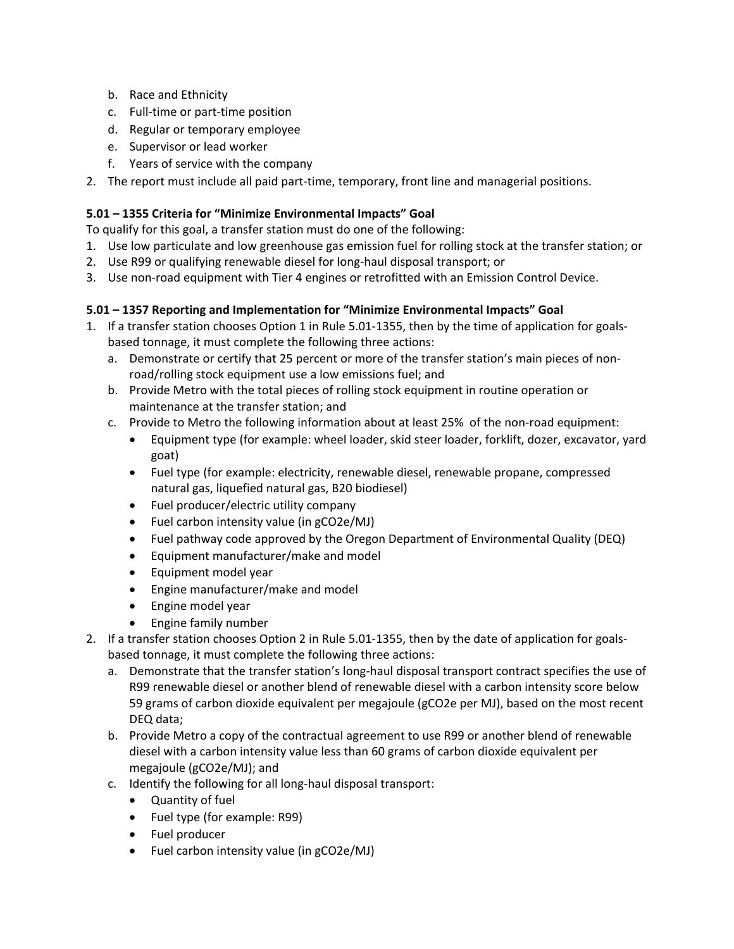- b. Race and Ethnicity
- c. Full-time or part-time position
- d. Regular or temporary employee
- e. Supervisor or lead worker
- f. Years of service with the company
- 2. The report must include all paid part-time, temporary, front line and managerial positions.

## **5.01 – 1355 Criteria for "Minimize Environmental Impacts" Goal**

To qualify for this goal, a transfer station must do one of the following:

- 1. Use low particulate and low greenhouse gas emission fuel for rolling stock at the transfer station; or
- 2. Use R99 or qualifying renewable diesel for long-haul disposal transport; or
- 3. Use non-road equipment with Tier 4 engines or retrofitted with an Emission Control Device.

## **5.01 – 1357 Reporting and Implementation for "Minimize Environmental Impacts" Goal**

- 1. If a transfer station chooses Option 1 in Rule 5.01-1355, then by the time of application for goalsbased tonnage, it must complete the following three actions:
	- a. Demonstrate or certify that 25 percent or more of the transfer station's main pieces of nonroad/rolling stock equipment use a low emissions fuel; and
	- b. Provide Metro with the total pieces of rolling stock equipment in routine operation or maintenance at the transfer station; and
	- c. Provide to Metro the following information about at least 25% of the non-road equipment:
		- Equipment type (for example: wheel loader, skid steer loader, forklift, dozer, excavator, yard goat)
		- Fuel type (for example: electricity, renewable diesel, renewable propane, compressed natural gas, liquefied natural gas, B20 biodiesel)
		- Fuel producer/electric utility company
		- Fuel carbon intensity value (in gCO2e/MJ)
		- Fuel pathway code approved by the Oregon Department of Environmental Quality (DEQ)
		- Equipment manufacturer/make and model
		- Equipment model year
		- Engine manufacturer/make and model
		- Engine model year
		- Engine family number
- 2. If a transfer station chooses Option 2 in Rule 5.01-1355, then by the date of application for goalsbased tonnage, it must complete the following three actions:
	- a. Demonstrate that the transfer station's long-haul disposal transport contract specifies the use of R99 renewable diesel or another blend of renewable diesel with a carbon intensity score below 59 grams of carbon dioxide equivalent per megajoule (gCO2e per MJ), based on the most recent DEQ data;
	- b. Provide Metro a copy of the contractual agreement to use R99 or another blend of renewable diesel with a carbon intensity value less than 60 grams of carbon dioxide equivalent per megajoule (gCO2e/MJ); and
	- c. Identify the following for all long-haul disposal transport:
		- Quantity of fuel
		- Fuel type (for example: R99)
		- Fuel producer
		- Fuel carbon intensity value (in gCO2e/MJ)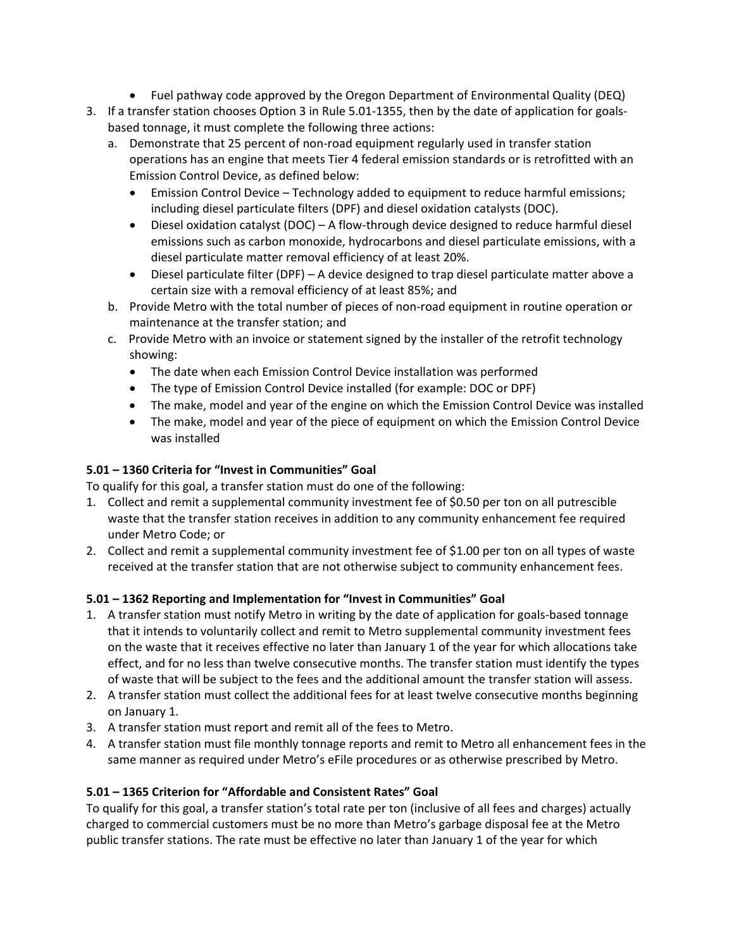- Fuel pathway code approved by the Oregon Department of Environmental Quality (DEQ)
- 3. If a transfer station chooses Option 3 in Rule 5.01-1355, then by the date of application for goalsbased tonnage, it must complete the following three actions:
	- a. Demonstrate that 25 percent of non-road equipment regularly used in transfer station operations has an engine that meets Tier 4 federal emission standards or is retrofitted with an Emission Control Device, as defined below:
		- Emission Control Device Technology added to equipment to reduce harmful emissions; including diesel particulate filters (DPF) and diesel oxidation catalysts (DOC).
		- Diesel oxidation catalyst (DOC) A flow-through device designed to reduce harmful diesel emissions such as carbon monoxide, hydrocarbons and diesel particulate emissions, with a diesel particulate matter removal efficiency of at least 20%.
		- Diesel particulate filter (DPF) A device designed to trap diesel particulate matter above a certain size with a removal efficiency of at least 85%; and
	- b. Provide Metro with the total number of pieces of non-road equipment in routine operation or maintenance at the transfer station; and
	- c. Provide Metro with an invoice or statement signed by the installer of the retrofit technology showing:
		- The date when each Emission Control Device installation was performed
		- The type of Emission Control Device installed (for example: DOC or DPF)
		- The make, model and year of the engine on which the Emission Control Device was installed
		- The make, model and year of the piece of equipment on which the Emission Control Device was installed

## **5.01 – 1360 Criteria for "Invest in Communities" Goal**

To qualify for this goal, a transfer station must do one of the following:

- 1. Collect and remit a supplemental community investment fee of \$0.50 per ton on all putrescible waste that the transfer station receives in addition to any community enhancement fee required under Metro Code; or
- 2. Collect and remit a supplemental community investment fee of \$1.00 per ton on all types of waste received at the transfer station that are not otherwise subject to community enhancement fees.

## **5.01 – 1362 Reporting and Implementation for "Invest in Communities" Goal**

- 1. A transfer station must notify Metro in writing by the date of application for goals-based tonnage that it intends to voluntarily collect and remit to Metro supplemental community investment fees on the waste that it receives effective no later than January 1 of the year for which allocations take effect, and for no less than twelve consecutive months. The transfer station must identify the types of waste that will be subject to the fees and the additional amount the transfer station will assess.
- 2. A transfer station must collect the additional fees for at least twelve consecutive months beginning on January 1.
- 3. A transfer station must report and remit all of the fees to Metro.
- 4. A transfer station must file monthly tonnage reports and remit to Metro all enhancement fees in the same manner as required under Metro's eFile procedures or as otherwise prescribed by Metro.

## **5.01 – 1365 Criterion for "Affordable and Consistent Rates" Goal**

To qualify for this goal, a transfer station's total rate per ton (inclusive of all fees and charges) actually charged to commercial customers must be no more than Metro's garbage disposal fee at the Metro public transfer stations. The rate must be effective no later than January 1 of the year for which